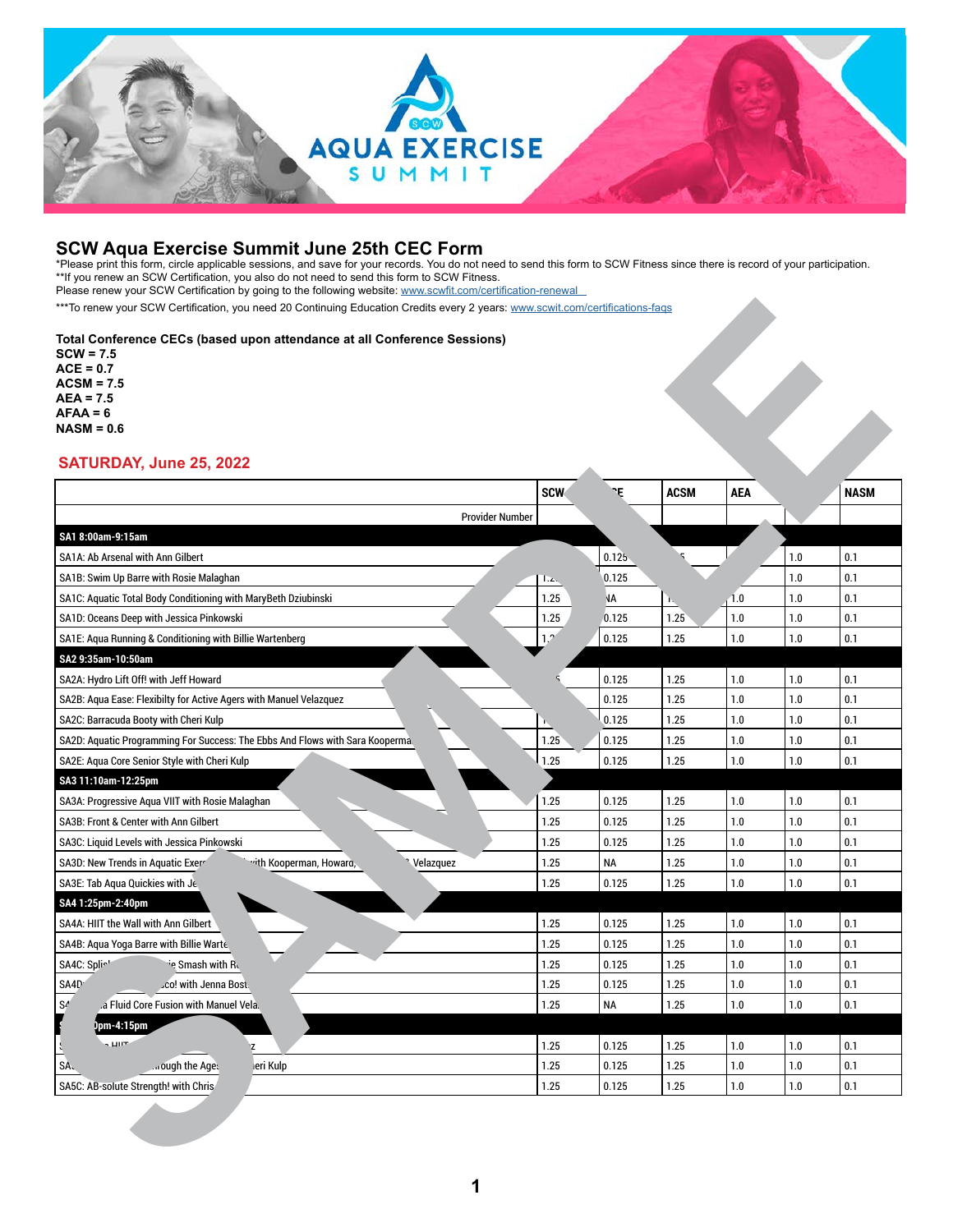

**SCW Aqua Exercise Summit June 25th CEC Form** \*Please print this form, circle applicable sessions, and save for your records. You do not need to send this form to SCW Fitness since there is record of your participation. \*\*If you renew an SCW Certification, you also do not need to send this form to SCW Fitness. Please renew your SCW Certification by going to the following website: www.scwfit.com/certification-renewal

### **Total Conference CECs (based upon attendance at all Conference Sessions)**

| $SCW = 7.5$<br>$ACE = 0.7$<br>$ACSM = 7.5$<br>AEA = 7.5<br>$AFAA = 6$<br>$NASM = 0.6$ |              |                |              |                    |            |             |
|---------------------------------------------------------------------------------------|--------------|----------------|--------------|--------------------|------------|-------------|
| SATURDAY, June 25, 2022                                                               |              |                |              |                    |            |             |
|                                                                                       | <b>SCW</b>   | ٦Ę             | <b>ACSM</b>  | <b>AEA</b>         |            | <b>NASM</b> |
| <b>Provider Number</b>                                                                |              |                |              |                    |            |             |
| SA1 8:00am-9:15am                                                                     |              |                |              |                    |            |             |
| SA1A: Ab Arsenal with Ann Gilbert                                                     |              | 0.125          |              |                    | 1.0        | 0.1         |
| SA1B: Swim Up Barre with Rosie Malaghan                                               | Ŀд.          | 0.125          |              |                    | 1.0        | 0.1         |
| SA1C: Aquatic Total Body Conditioning with MaryBeth Dziubinski                        | 1.25         | N٨             |              | 1.0                | 1.0        | 0.1         |
| SA1D: Oceans Deep with Jessica Pinkowski                                              | 1.25         | 0.125          | 1.25         | 1.0                | 1.0        | 0.1         |
| SA1E: Aqua Running & Conditioning with Billie Wartenberg                              | 1,2          | 0.125          | 1.25         | 1.0                | 1.0        | 0.1         |
| SA2 9:35am-10:50am                                                                    |              |                |              |                    |            |             |
| SA2A: Hydro Lift Off! with Jeff Howard                                                |              | 0.125          | 1.25         | $1.0\,$            | 1.0<br>1.0 | 0.1         |
| SA2B: Aqua Ease: Flexibilty for Active Agers with Manuel Velazquez                    |              | 0.125          | 1.25         | 1.0                |            | 0.1         |
| SA2C: Barracuda Booty with Cheri Kulp                                                 |              | 0.125          | 1.25         | 1.0                | 1.0        | 0.1         |
| SA2D: Aquatic Programming For Success: The Ebbs And Flows with Sara Kooperma.         | 1.25<br>1.25 | 0.125<br>0.125 | 1.25<br>1.25 | $1.0\,$<br>$1.0\,$ | 1.0<br>1.0 | 0.1<br>0.1  |
| SA2E: Aqua Core Senior Style with Cheri Kulp<br>SA3 11:10am-12:25pm                   |              |                |              |                    |            |             |
| SA3A: Progressive Aqua VIIT with Rosie Malaghan                                       | 1.25         | 0.125          | 1.25         | 1.0                | 1.0        | 0.1         |
| SA3B: Front & Center with Ann Gilbert                                                 | 1.25         | 0.125          | 1.25         | 1.0                | 1.0        | 0.1         |
| SA3C: Liquid Levels with Jessica Pinkowski                                            | 1.25         | 0.125          | 1.25         | 1.0                | 1.0        | 0.1         |
| SA3D: New Trends in Aquatic Exerr<br>Velazquez<br>vith Kooperman, Howard,             | 1.25         | <b>NA</b>      | 1.25         | 1.0                | 1.0        | 0.1         |
| SA3E: Tab Aqua Quickies with Je.                                                      | 1.25         | 0.125          | 1.25         | 1.0                | 1.0        | 0.1         |
| SA4 1:25pm-2:40pm                                                                     |              |                |              |                    |            |             |
| SA4A: HIIT the Wall with Ann Gilbert                                                  | 1.25         | 0.125          | 1.25         | 1.0                | 1.0        | 0.1         |
| SA4B: Aqua Yoga Barre with Billie Warte                                               | 1.25         | 0.125          | 1.25         | $1.0\,$            | 1.0        | 0.1         |
| SA4C: Splich<br>e Smash with R                                                        | 1.25         | 0.125          | 1.25         | 1.0                | 1.0        | 0.1         |
| SA4D <sup>®</sup><br>.co! with Jenna Bost.                                            | 1.25         | 0.125          | 1.25         | 1.0                | 1.0        | 0.1         |
| $\mathbb{S}^{\mathbb{Z}}$<br>.a Fluid Core Fusion with Manuel Vela.                   | 1.25         | NA             | $1.25$       | $1.0\,$            | 1.0        | 0.1         |
| ppm-4:15pm                                                                            |              |                |              |                    |            |             |
| $\sqrt{\mu}$<br>$\ddot{\cdot}$<br>Z                                                   | 1.25         | 0.125          | 1.25         | $1.0\,$            | $1.0\,$    | 0.1         |
| SA <sub>o</sub><br>ough the Ages<br>leri Kulp                                         | 1.25         | 0.125          | 1.25         | $1.0\,$            | $1.0\,$    | $0.1\,$     |
|                                                                                       | 1.25         | 0.125          | 1.25         | 1.0                | 1.0        | $0.1\,$     |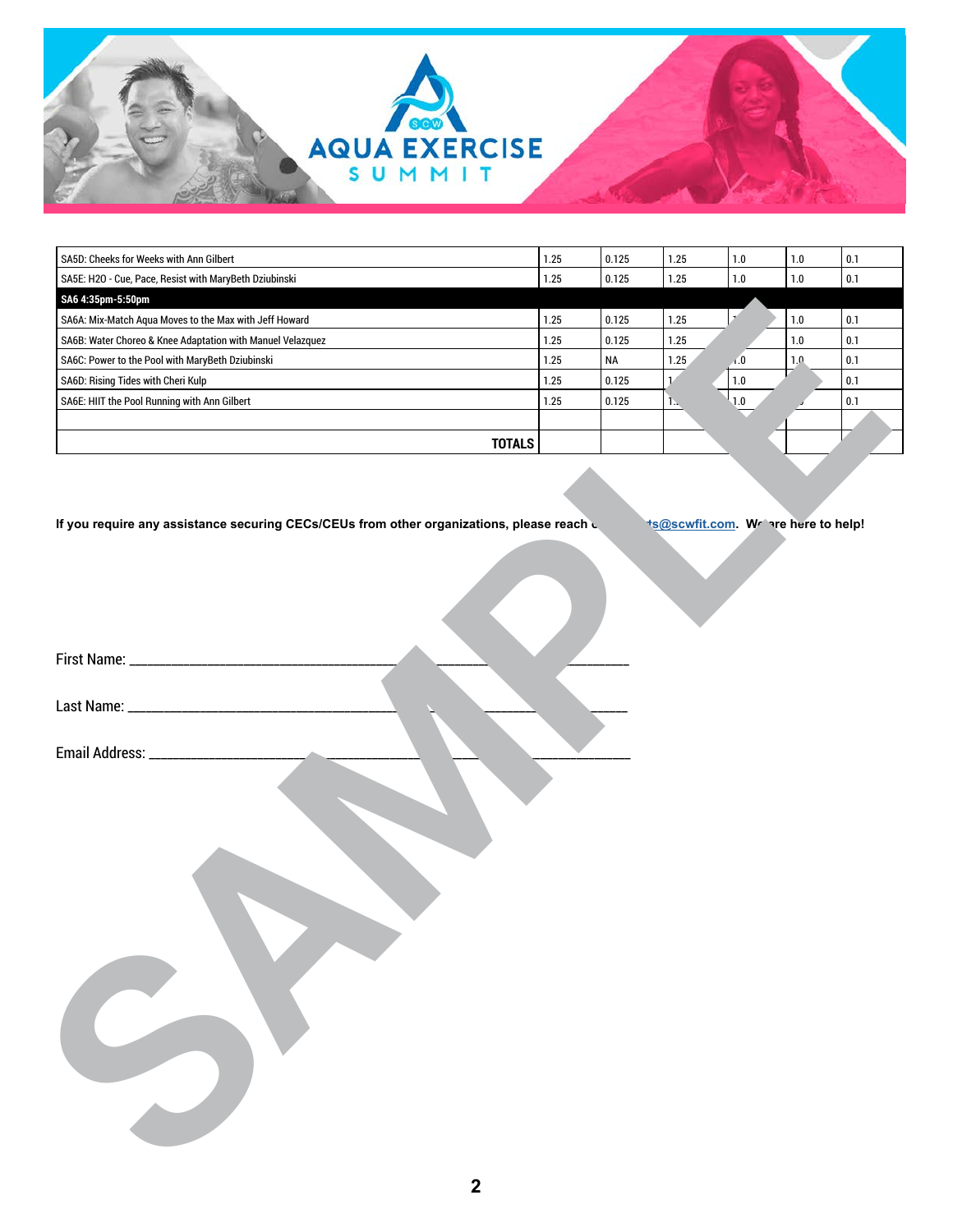

| SA5D: Cheeks for Weeks with Ann Gilbert                    | 1.25 | 0.125    | 1.25          | $1.0$                       | $1.0\,$ | 0.1     |
|------------------------------------------------------------|------|----------|---------------|-----------------------------|---------|---------|
| SA5E: H2O - Cue, Pace, Resist with MaryBeth Dziubinski     | 1.25 | 0.125    | 1.25          | $1.0\,$                     | 1.0     | $0.1\,$ |
| SA6 4:35pm-5:50pm                                          |      |          |               |                             |         |         |
| SA6A: Mix-Match Aqua Moves to the Max with Jeff Howard     | 1.25 | 0.125    | 1.25          | $\mathcal{F}^{\mathcal{E}}$ | $1.0$   | 0.1     |
| SA6B: Water Choreo & Knee Adaptation with Manuel Velazquez | 1.25 | 0.125    | 1.25          |                             | $1.0\,$ | 0.1     |
| SA6C: Power to the Pool with MaryBeth Dziubinski           | 1.25 | $\sf NA$ | 1.25          | $\sqrt{0}$                  | 1.0     | 0.1     |
| SA6D: Rising Tides with Cheri Kulp                         | 1.25 | 0.125    | $\mathcal{V}$ | $1.0\,$                     |         | 0.1     |
| SA6E: HIIT the Pool Running with Ann Gilbert               | 1.25 | 0.125    | 1.4           | 1.0                         |         | $0.1\,$ |
|                                                            |      |          |               |                             |         |         |
| <b>TOTALS</b>                                              |      |          |               |                             |         |         |
|                                                            |      |          |               |                             |         |         |
| Email Address: ____________________                        |      |          |               |                             |         |         |

|  | Email Address: __ |  |
|--|-------------------|--|
|--|-------------------|--|